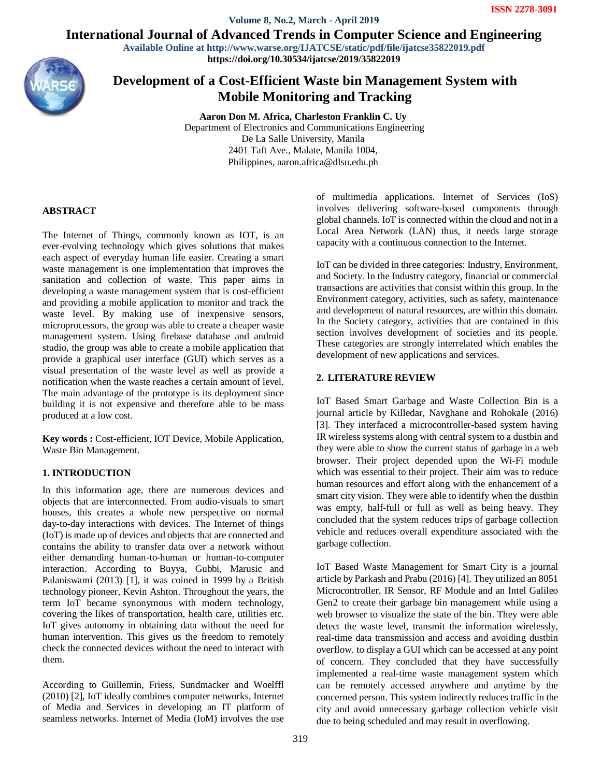**Volume 8, No.2, March - April 2019**

International Journal of Advanced Trends in Computer Science and Engineering

**Available Online at http://www.warse.org/IJATCSE/static/pdf/file/ijatcse35822019.pdf https://doi.org/10.30534/ijatcse/2019/35822019**



# **Development of a Cost-Efficient Waste bin Management System with Mobile Monitoring and Tracking**

**Aaron Don M. Africa, Charleston Franklin C. Uy** Department of Electronics and Communications Engineering De La Salle University, Manila 2401 Taft Ave., Malate, Manila 1004, Philippines, aaron.africa@dlsu.edu.ph

## **ABSTRACT**

The Internet of Things, commonly known as IOT, is an ever-evolving technology which gives solutions that makes each aspect of everyday human life easier. Creating a smart waste management is one implementation that improves the sanitation and collection of waste. This paper aims in developing a waste management system that is cost-efficient and providing a mobile application to monitor and track the waste level. By making use of inexpensive sensors, microprocessors, the group was able to create a cheaper waste management system. Using firebase database and android studio, the group was able to create a mobile application that provide a graphical user interface (GUI) which serves as a visual presentation of the waste level as well as provide a notification when the waste reaches a certain amount of level. The main advantage of the prototype is its deployment since building it is not expensive and therefore able to be mass produced at a low cost.

**Key words :** Cost-efficient, IOT Device, Mobile Application, Waste Bin Management.

#### **1. INTRODUCTION**

In this information age, there are numerous devices and objects that are interconnected. From audio-visuals to smart houses, this creates a whole new perspective on normal day-to-day interactions with devices. The Internet of things (IoT) is made up of devices and objects that are connected and contains the ability to transfer data over a network without either demanding human-to-human or human-to-computer interaction. According to Buyya, Gubbi, Marusic and Palaniswami (2013) [1], it was coined in 1999 by a British technology pioneer, Kevin Ashton. Throughout the years, the term IoT became synonymous with modern technology, covering the likes of transportation, health care, utilities etc. IoT gives autonomy in obtaining data without the need for human intervention. This gives us the freedom to remotely check the connected devices without the need to interact with them.

According to Guillemin, Friess, Sundmacker and Woelffl (2010) [2], IoT ideally combines computer networks, Internet of Media and Services in developing an IT platform of seamless networks. Internet of Media (IoM) involves the use

of multimedia applications. Internet of Services (IoS) involves delivering software-based components through global channels. IoT is connected within the cloud and not in a Local Area Network (LAN) thus, it needs large storage capacity with a continuous connection to the Internet.

IoT can be divided in three categories: Industry, Environment, and Society. In the Industry category, financial or commercial transactions are activities that consist within this group. In the Environment category, activities, such as safety, maintenance and development of natural resources, are within this domain. In the Society category, activities that are contained in this section involves development of societies and its people. These categories are strongly interrelated which enables the development of new applications and services.

#### **2. LITERATURE REVIEW**

IoT Based Smart Garbage and Waste Collection Bin is a journal article by Killedar, Navghane and Rohokale (2016) [3]. They interfaced a microcontroller-based system having IR wireless systems along with central system to a dustbin and they were able to show the current status of garbage in a web browser. Their project depended upon the Wi-Fi module which was essential to their project. Their aim was to reduce human resources and effort along with the enhancement of a smart city vision. They were able to identify when the dustbin was empty, half-full or full as well as being heavy. They concluded that the system reduces trips of garbage collection vehicle and reduces overall expenditure associated with the garbage collection.

IoT Based Waste Management for Smart City is a journal article by Parkash and Prabu (2016) [4]. They utilized an 8051 Microcontroller, IR Sensor, RF Module and an Intel Galileo Gen2 to create their garbage bin management while using a web browser to visualize the state of the bin. They were able detect the waste level, transmit the information wirelessly, real-time data transmission and access and avoiding dustbin overflow. to display a GUI which can be accessed at any point of concern. They concluded that they have successfully implemented a real-time waste management system which can be remotely accessed anywhere and anytime by the concerned person. This system indirectly reduces traffic in the city and avoid unnecessary garbage collection vehicle visit due to being scheduled and may result in overflowing.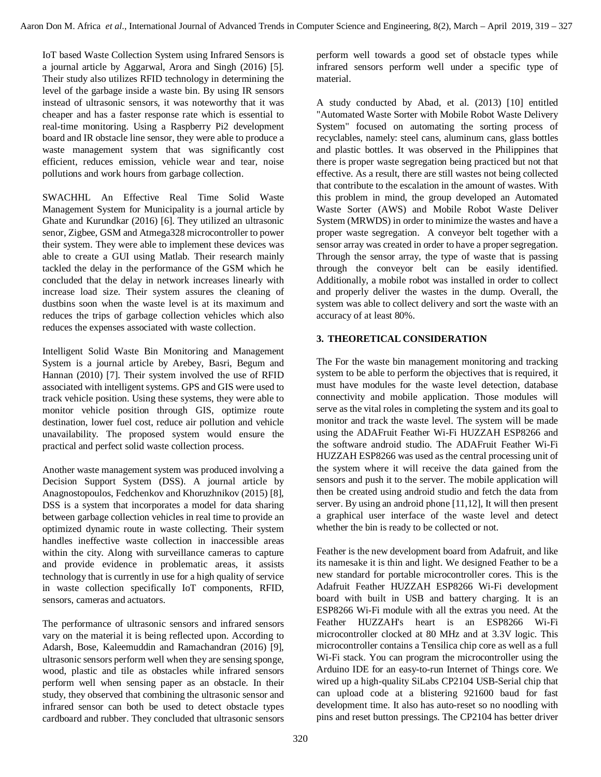IoT based Waste Collection System using Infrared Sensors is a journal article by Aggarwal, Arora and Singh (2016) [5]. Their study also utilizes RFID technology in determining the level of the garbage inside a waste bin. By using IR sensors instead of ultrasonic sensors, it was noteworthy that it was cheaper and has a faster response rate which is essential to real-time monitoring. Using a Raspberry Pi2 development board and IR obstacle line sensor, they were able to produce a waste management system that was significantly cost efficient, reduces emission, vehicle wear and tear, noise pollutions and work hours from garbage collection.

SWACHHL An Effective Real Time Solid Waste Management System for Municipality is a journal article by Ghate and Kurundkar (2016) [6]. They utilized an ultrasonic senor, Zigbee, GSM and Atmega328 microcontroller to power their system. They were able to implement these devices was able to create a GUI using Matlab. Their research mainly tackled the delay in the performance of the GSM which he concluded that the delay in network increases linearly with increase load size. Their system assures the cleaning of dustbins soon when the waste level is at its maximum and reduces the trips of garbage collection vehicles which also reduces the expenses associated with waste collection.

Intelligent Solid Waste Bin Monitoring and Management System is a journal article by Arebey, Basri, Begum and Hannan (2010) [7]. Their system involved the use of RFID associated with intelligent systems. GPS and GIS were used to track vehicle position. Using these systems, they were able to monitor vehicle position through GIS, optimize route destination, lower fuel cost, reduce air pollution and vehicle unavailability. The proposed system would ensure the practical and perfect solid waste collection process.

Another waste management system was produced involving a Decision Support System (DSS). A journal article by Anagnostopoulos, Fedchenkov and Khoruzhnikov (2015) [8], DSS is a system that incorporates a model for data sharing between garbage collection vehicles in real time to provide an optimized dynamic route in waste collecting. Their system handles ineffective waste collection in inaccessible areas within the city. Along with surveillance cameras to capture and provide evidence in problematic areas, it assists technology that is currently in use for a high quality of service in waste collection specifically IoT components, RFID, sensors, cameras and actuators.

The performance of ultrasonic sensors and infrared sensors vary on the material it is being reflected upon. According to Adarsh, Bose, Kaleemuddin and Ramachandran (2016) [9], ultrasonic sensors perform well when they are sensing sponge, wood, plastic and tile as obstacles while infrared sensors perform well when sensing paper as an obstacle. In their study, they observed that combining the ultrasonic sensor and infrared sensor can both be used to detect obstacle types cardboard and rubber. They concluded that ultrasonic sensors

perform well towards a good set of obstacle types while infrared sensors perform well under a specific type of material.

A study conducted by Abad, et al. (2013) [10] entitled "Automated Waste Sorter with Mobile Robot Waste Delivery System" focused on automating the sorting process of recyclables, namely: steel cans, aluminum cans, glass bottles and plastic bottles. It was observed in the Philippines that there is proper waste segregation being practiced but not that effective. As a result, there are still wastes not being collected that contribute to the escalation in the amount of wastes. With this problem in mind, the group developed an Automated Waste Sorter (AWS) and Mobile Robot Waste Deliver System (MRWDS) in order to minimize the wastes and have a proper waste segregation. A conveyor belt together with a sensor array was created in order to have a proper segregation. Through the sensor array, the type of waste that is passing through the conveyor belt can be easily identified. Additionally, a mobile robot was installed in order to collect and properly deliver the wastes in the dump. Overall, the system was able to collect delivery and sort the waste with an accuracy of at least 80%.

# **3. THEORETICAL CONSIDERATION**

The For the waste bin management monitoring and tracking system to be able to perform the objectives that is required, it must have modules for the waste level detection, database connectivity and mobile application. Those modules will serve as the vital roles in completing the system and its goal to monitor and track the waste level. The system will be made using the ADAFruit Feather Wi-Fi HUZZAH ESP8266 and the software android studio. The ADAFruit Feather Wi-Fi HUZZAH ESP8266 was used as the central processing unit of the system where it will receive the data gained from the sensors and push it to the server. The mobile application will then be created using android studio and fetch the data from server. By using an android phone [11,12], It will then present a graphical user interface of the waste level and detect whether the bin is ready to be collected or not.

Feather is the new development board from Adafruit, and like its namesake it is thin and light. We designed Feather to be a new standard for portable microcontroller cores. This is the Adafruit Feather HUZZAH ESP8266 Wi-Fi development board with built in USB and battery charging. It is an ESP8266 Wi-Fi module with all the extras you need. At the Feather HUZZAH's heart is an ESP8266 Wi-Fi microcontroller clocked at 80 MHz and at 3.3V logic. This microcontroller contains a Tensilica chip core as well as a full Wi-Fi stack. You can program the microcontroller using the Arduino IDE for an easy-to-run Internet of Things core. We wired up a high-quality SiLabs CP2104 USB-Serial chip that can upload code at a blistering 921600 baud for fast development time. It also has auto-reset so no noodling with pins and reset button pressings. The CP2104 has better driver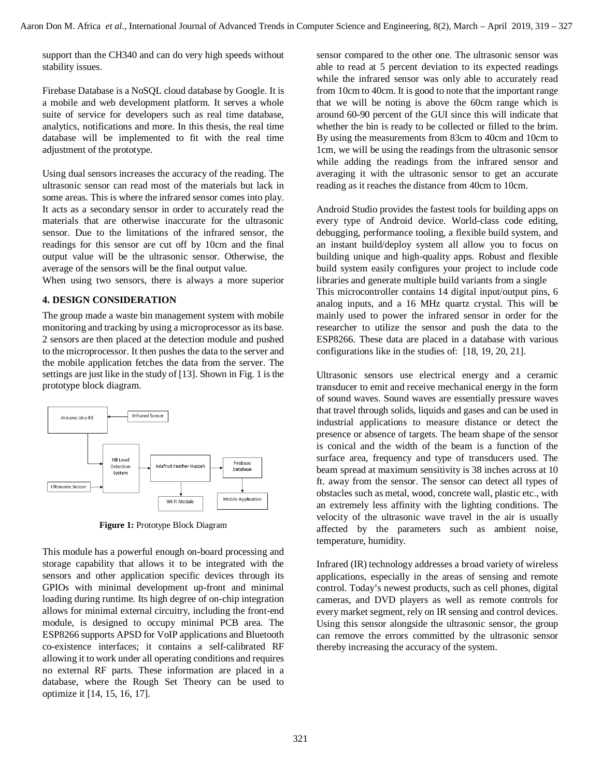support than the CH340 and can do very high speeds without stability issues.

Firebase Database is a NoSQL cloud database by Google. It is a mobile and web development platform. It serves a whole suite of service for developers such as real time database, analytics, notifications and more. In this thesis, the real time database will be implemented to fit with the real time adjustment of the prototype.

Using dual sensors increases the accuracy of the reading. The ultrasonic sensor can read most of the materials but lack in some areas. This is where the infrared sensor comes into play. It acts as a secondary sensor in order to accurately read the materials that are otherwise inaccurate for the ultrasonic sensor. Due to the limitations of the infrared sensor, the readings for this sensor are cut off by 10cm and the final output value will be the ultrasonic sensor. Otherwise, the average of the sensors will be the final output value.

When using two sensors, there is always a more superior

#### **4. DESIGN CONSIDERATION**

The group made a waste bin management system with mobile monitoring and tracking by using a microprocessor as its base. 2 sensors are then placed at the detection module and pushed to the microprocessor. It then pushes the data to the server and the mobile application fetches the data from the server. The settings are just like in the study of [13]. Shown in Fig. 1 is the prototype block diagram.



**Figure 1:** Prototype Block Diagram

This module has a powerful enough on-board processing and storage capability that allows it to be integrated with the sensors and other application specific devices through its GPIOs with minimal development up-front and minimal loading during runtime. Its high degree of on-chip integration allows for minimal external circuitry, including the front-end module, is designed to occupy minimal PCB area. The ESP8266 supports APSD for VoIP applications and Bluetooth co-existence interfaces; it contains a self-calibrated RF allowing it to work under all operating conditions and requires no external RF parts. These information are placed in a database, where the Rough Set Theory can be used to optimize it [14, 15, 16, 17].

sensor compared to the other one. The ultrasonic sensor was able to read at 5 percent deviation to its expected readings while the infrared sensor was only able to accurately read from 10cm to 40cm. It is good to note that the important range that we will be noting is above the 60cm range which is around 60-90 percent of the GUI since this will indicate that whether the bin is ready to be collected or filled to the brim. By using the measurements from 83cm to 40cm and 10cm to 1cm, we will be using the readings from the ultrasonic sensor while adding the readings from the infrared sensor and averaging it with the ultrasonic sensor to get an accurate reading as it reaches the distance from 40cm to 10cm.

Android Studio provides the fastest tools for building apps on every type of Android device. World-class code editing, debugging, performance tooling, a flexible build system, and an instant build/deploy system all allow you to focus on building unique and high-quality apps. Robust and flexible build system easily configures your project to include code libraries and generate multiple build variants from a single This microcontroller contains 14 digital input/output pins, 6 analog inputs, and a 16 MHz quartz crystal. This will be mainly used to power the infrared sensor in order for the researcher to utilize the sensor and push the data to the ESP8266. These data are placed in a database with various configurations like in the studies of: [18, 19, 20, 21].

Ultrasonic sensors use electrical energy and a ceramic transducer to emit and receive mechanical energy in the form of sound waves. Sound waves are essentially pressure waves that travel through solids, liquids and gases and can be used in industrial applications to measure distance or detect the presence or absence of targets. The beam shape of the sensor is conical and the width of the beam is a function of the surface area, frequency and type of transducers used. The beam spread at maximum sensitivity is 38 inches across at 10 ft. away from the sensor. The sensor can detect all types of obstacles such as metal, wood, concrete wall, plastic etc., with an extremely less affinity with the lighting conditions. The velocity of the ultrasonic wave travel in the air is usually affected by the parameters such as ambient noise, temperature, humidity.

Infrared (IR) technology addresses a broad variety of wireless applications, especially in the areas of sensing and remote control. Today's newest products, such as cell phones, digital cameras, and DVD players as well as remote controls for every market segment, rely on IR sensing and control devices. Using this sensor alongside the ultrasonic sensor, the group can remove the errors committed by the ultrasonic sensor thereby increasing the accuracy of the system.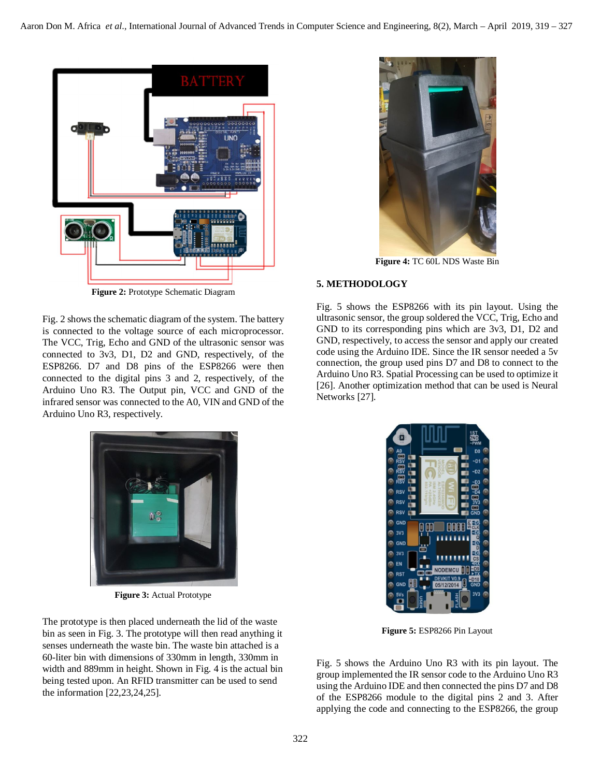

**Figure 2:** Prototype Schematic Diagram

Fig. 2 shows the schematic diagram of the system. The battery is connected to the voltage source of each microprocessor. The VCC, Trig, Echo and GND of the ultrasonic sensor was connected to 3v3, D1, D2 and GND, respectively, of the ESP8266. D7 and D8 pins of the ESP8266 were then connected to the digital pins 3 and 2, respectively, of the Arduino Uno R3. The Output pin, VCC and GND of the infrared sensor was connected to the A0, VIN and GND of the Arduino Uno R3, respectively.



**Figure 4:** TC 60L NDS Waste Bin

## **5. METHODOLOGY**

Fig. 5 shows the ESP8266 with its pin layout. Using the ultrasonic sensor, the group soldered the VCC, Trig, Echo and GND to its corresponding pins which are 3v3, D1, D2 and GND, respectively, to access the sensor and apply our created code using the Arduino IDE. Since the IR sensor needed a 5v connection, the group used pins D7 and D8 to connect to the Arduino Uno R3. Spatial Processing can be used to optimize it [26]. Another optimization method that can be used is Neural Networks [27].



**Figure 3:** Actual Prototype

The prototype is then placed underneath the lid of the waste bin as seen in Fig. 3. The prototype will then read anything it senses underneath the waste bin. The waste bin attached is a 60-liter bin with dimensions of 330mm in length, 330mm in width and 889mm in height. Shown in Fig. 4 is the actual bin being tested upon. An RFID transmitter can be used to send the information [22,23,24,25].



**Figure 5:** ESP8266 Pin Layout

Fig. 5 shows the Arduino Uno R3 with its pin layout. The group implemented the IR sensor code to the Arduino Uno R3 using the Arduino IDE and then connected the pins D7 and D8 of the ESP8266 module to the digital pins 2 and 3. After applying the code and connecting to the ESP8266, the group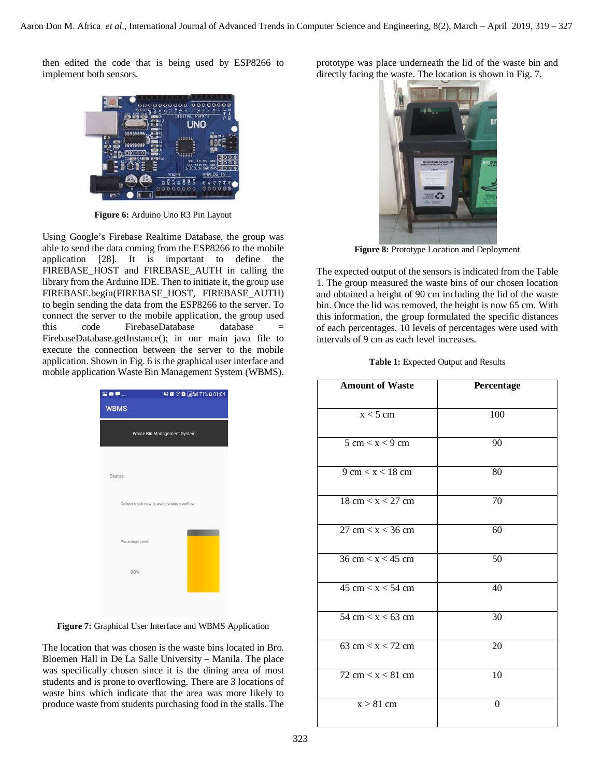then edited the code that is being used by ESP8266 to implement both sensors.



**Figure 6:** Arduino Uno R3 Pin Layout

Using Google's Firebase Realtime Database, the group was able to send the data coming from the ESP8266 to the mobile application [28]. It is important to define the FIREBASE\_HOST and FIREBASE\_AUTH in calling the library from the Arduino IDE. Then to initiate it, the group use FIREBASE.begin(FIREBASE\_HOST, FIREBASE\_AUTH) to begin sending the data from the ESP8266 to the server. To connect the server to the mobile application, the group used this code FirebaseDatabase database = FirebaseDatabase.getInstance(); in our main java file to execute the connection between the server to the mobile application. Shown in Fig. 6 is the graphical user interface and mobile application Waste Bin Management System (WBMS).

| <b>ROP</b>                  | ※後京日回5471%日01:04                          |  |  |
|-----------------------------|-------------------------------------------|--|--|
| <b>WBMS</b>                 |                                           |  |  |
| Waste Bin Management System |                                           |  |  |
| Status:                     |                                           |  |  |
|                             | Collect trash now to avoid waste overflow |  |  |
| Percentage Level:           |                                           |  |  |
| 90%                         |                                           |  |  |
|                             |                                           |  |  |

**Figure 7:** Graphical User Interface and WBMS Application

The location that was chosen is the waste bins located in Bro. Bloemen Hall in De La Salle University – Manila. The place was specifically chosen since it is the dining area of most students and is prone to overflowing. There are 3 locations of waste bins which indicate that the area was more likely to produce waste from students purchasing food in the stalls. The

prototype was place underneath the lid of the waste bin and directly facing the waste. The location is shown in Fig. 7.



**Figure 8:** Prototype Location and Deployment

The expected output of the sensors is indicated from the Table 1. The group measured the waste bins of our chosen location and obtained a height of 90 cm including the lid of the waste bin. Once the lid was removed, the height is now 65 cm. With this information, the group formulated the specific distances of each percentages. 10 levels of percentages were used with intervals of 9 cm as each level increases.

| Table 1: Expected Output and Results |  |  |
|--------------------------------------|--|--|
|--------------------------------------|--|--|

| <b>Amount of Waste</b>              | Percentage |  |
|-------------------------------------|------------|--|
| $\overline{x}$ < 5 cm               | 100        |  |
| $\frac{1}{5}$ cm $\lt x \lt 9$ cm   | 90         |  |
| $9 \text{ cm} < x < 18 \text{ cm}$  | 80         |  |
| $18 \text{ cm} < x < 27 \text{ cm}$ | 70         |  |
| $27 \text{ cm} < x < 36 \text{ cm}$ | 60         |  |
| $36 \text{ cm} < x < 45 \text{ cm}$ | 50         |  |
| $45 \text{ cm} < x < 54 \text{ cm}$ | 40         |  |
| 54 cm $\lt x \lt 63$ cm             | 30         |  |
| 63 cm $\lt x \lt 72$ cm             | 20         |  |
| $72 \text{ cm} < x < 81 \text{ cm}$ | 10         |  |
| $x > 81$ cm                         | $\theta$   |  |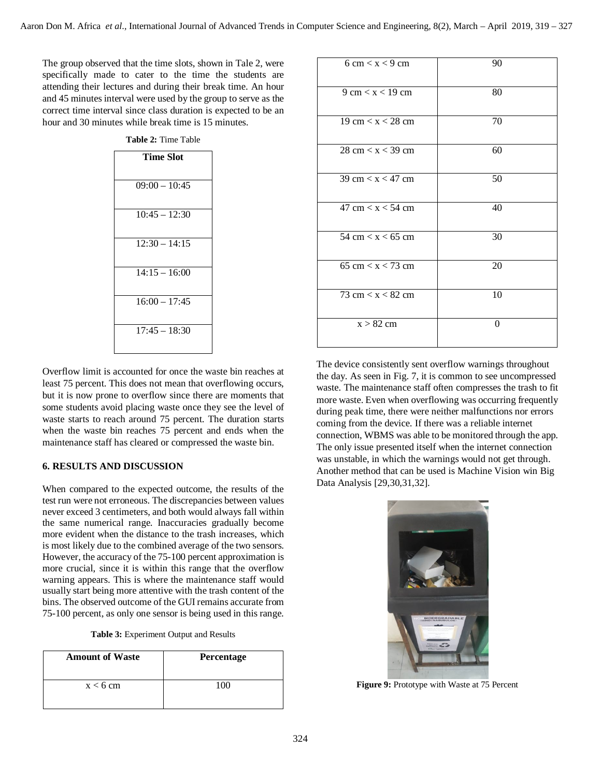The group observed that the time slots, shown in Tale 2, were specifically made to cater to the time the students are attending their lectures and during their break time. An hour and 45 minutes interval were used by the group to serve as the correct time interval since class duration is expected to be an hour and 30 minutes while break time is 15 minutes.

| <b>Time Slot</b> |  |  |
|------------------|--|--|
|                  |  |  |
|                  |  |  |
| $09:00 - 10:45$  |  |  |
|                  |  |  |
|                  |  |  |
| $10:45 - 12:30$  |  |  |
|                  |  |  |
| $12:30 - 14:15$  |  |  |
|                  |  |  |
|                  |  |  |
| $14:15 - 16:00$  |  |  |
|                  |  |  |
|                  |  |  |
| $16:00 - 17:45$  |  |  |
|                  |  |  |
|                  |  |  |
| $17:45 - 18:30$  |  |  |
|                  |  |  |
|                  |  |  |

**Table 2:** Time Table

Overflow limit is accounted for once the waste bin reaches at least 75 percent. This does not mean that overflowing occurs, but it is now prone to overflow since there are moments that some students avoid placing waste once they see the level of waste starts to reach around 75 percent. The duration starts when the waste bin reaches 75 percent and ends when the maintenance staff has cleared or compressed the waste bin.

#### **6. RESULTS AND DISCUSSION**

When compared to the expected outcome, the results of the test run were not erroneous. The discrepancies between values never exceed 3 centimeters, and both would always fall within the same numerical range. Inaccuracies gradually become more evident when the distance to the trash increases, which is most likely due to the combined average of the two sensors. However, the accuracy of the 75-100 percent approximation is more crucial, since it is within this range that the overflow warning appears. This is where the maintenance staff would usually start being more attentive with the trash content of the bins. The observed outcome of the GUI remains accurate from 75-100 percent, as only one sensor is being used in this range.

| <b>Amount of Waste</b> | Percentage |
|------------------------|------------|
| $x < 6$ cm             | 100        |

| $6 \text{ cm} < x < 9 \text{ cm}$                 | 90       |
|---------------------------------------------------|----------|
| $9 \text{ cm} < x < 19 \text{ cm}$                | 80       |
| 19 cm $\lt x \lt 28$ cm                           | 70       |
| $28 \text{ cm} < x < 39 \text{ cm}$               | 60       |
| $39 \text{ cm} < x < 47 \text{ cm}$               | 50       |
| 47 cm $\lt x \lt 54$ cm                           | 40       |
| 54 cm $\lt x \lt 65$ cm                           | 30       |
| 65 cm $\lt x \lt 73$ cm                           | 20       |
| 73 cm $\langle x \rangle$ $\langle 82 \rangle$ cm | 10       |
| $x > 82$ cm                                       | $\Omega$ |

The device consistently sent overflow warnings throughout the day. As seen in Fig. 7, it is common to see uncompressed waste. The maintenance staff often compresses the trash to fit more waste. Even when overflowing was occurring frequently during peak time, there were neither malfunctions nor errors coming from the device. If there was a reliable internet connection, WBMS was able to be monitored through the app. The only issue presented itself when the internet connection was unstable, in which the warnings would not get through. Another method that can be used is Machine Vision win Big Data Analysis [29,30,31,32].



**Figure 9:** Prototype with Waste at 75 Percent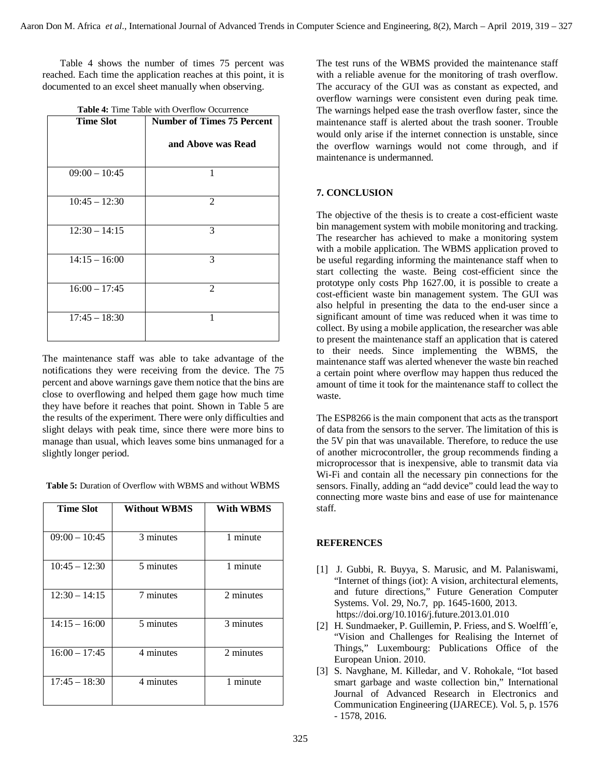Table 4 shows the number of times 75 percent was reached. Each time the application reaches at this point, it is documented to an excel sheet manually when observing.

| <b>Time Slot</b> | <b>Number of Times 75 Percent</b> |  |  |
|------------------|-----------------------------------|--|--|
|                  | and Above was Read                |  |  |
| $09:00 - 10:45$  | 1                                 |  |  |
| $10:45 - 12:30$  | 2                                 |  |  |
| $12:30 - 14:15$  | 3                                 |  |  |
| $14:15 - 16:00$  | 3                                 |  |  |
| $16:00 - 17:45$  | 2                                 |  |  |
| $17:45 - 18:30$  | 1                                 |  |  |

|  |  |  |  |  | <b>Table 4:</b> Time Table with Overflow Occurrence |
|--|--|--|--|--|-----------------------------------------------------|
|--|--|--|--|--|-----------------------------------------------------|

The maintenance staff was able to take advantage of the notifications they were receiving from the device. The 75 percent and above warnings gave them notice that the bins are close to overflowing and helped them gage how much time they have before it reaches that point. Shown in Table 5 are the results of the experiment. There were only difficulties and slight delays with peak time, since there were more bins to manage than usual, which leaves some bins unmanaged for a slightly longer period.

**Table 5:** Duration of Overflow with WBMS and without WBMS

| <b>Time Slot</b> | <b>Without WBMS</b> | With WBMS |
|------------------|---------------------|-----------|
| $09:00 - 10:45$  | 3 minutes           | 1 minute  |
| $10:45 - 12:30$  | 5 minutes           | 1 minute  |
| $12:30 - 14:15$  | 7 minutes           | 2 minutes |
| $14:15 - 16:00$  | 5 minutes           | 3 minutes |
| $16:00 - 17:45$  | 4 minutes           | 2 minutes |
| $17:45 - 18:30$  | 4 minutes           | 1 minute  |

The test runs of the WBMS provided the maintenance staff with a reliable avenue for the monitoring of trash overflow. The accuracy of the GUI was as constant as expected, and overflow warnings were consistent even during peak time. The warnings helped ease the trash overflow faster, since the maintenance staff is alerted about the trash sooner. Trouble would only arise if the internet connection is unstable, since the overflow warnings would not come through, and if maintenance is undermanned.

## **7. CONCLUSION**

The objective of the thesis is to create a cost-efficient waste bin management system with mobile monitoring and tracking. The researcher has achieved to make a monitoring system with a mobile application. The WBMS application proved to be useful regarding informing the maintenance staff when to start collecting the waste. Being cost-efficient since the prototype only costs Php 1627.00, it is possible to create a cost-efficient waste bin management system. The GUI was also helpful in presenting the data to the end-user since a significant amount of time was reduced when it was time to collect. By using a mobile application, the researcher was able to present the maintenance staff an application that is catered to their needs. Since implementing the WBMS, the maintenance staff was alerted whenever the waste bin reached a certain point where overflow may happen thus reduced the amount of time it took for the maintenance staff to collect the waste.

The ESP8266 is the main component that acts as the transport of data from the sensors to the server. The limitation of this is the 5V pin that was unavailable. Therefore, to reduce the use of another microcontroller, the group recommends finding a microprocessor that is inexpensive, able to transmit data via Wi-Fi and contain all the necessary pin connections for the sensors. Finally, adding an "add device" could lead the way to connecting more waste bins and ease of use for maintenance staff.

## **REFERENCES**

- [1] J. Gubbi, R. Buyya, S. Marusic, and M. Palaniswami, "Internet of things (iot): A vision, architectural elements, and future directions," Future Generation Computer Systems. Vol. 29, No.7, pp. 1645-1600, 2013. https://doi.org/10.1016/j.future.2013.01.010
- [2] H. Sundmaeker, P. Guillemin, P. Friess, and S. Woelffl´e, "Vision and Challenges for Realising the Internet of Things," Luxembourg: Publications Office of the European Union. 2010.
- [3] S. Navghane, M. Killedar, and V. Rohokale, "Iot based smart garbage and waste collection bin," International Journal of Advanced Research in Electronics and Communication Engineering (IJARECE). Vol. 5, p. 1576 - 1578, 2016.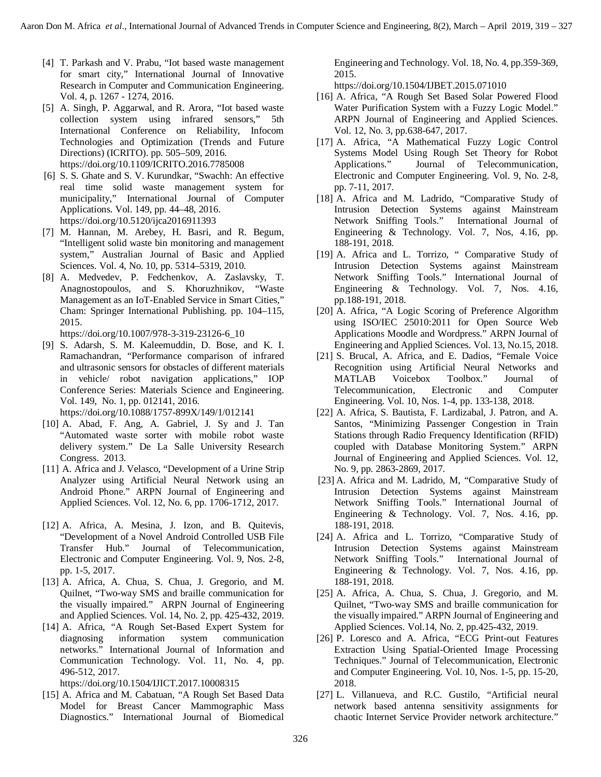- [4] T. Parkash and V. Prabu, "Iot based waste management for smart city," International Journal of Innovative Research in Computer and Communication Engineering. Vol. 4, p. 1267 - 1274, 2016.
- [5] A. Singh, P. Aggarwal, and R. Arora, "Iot based waste collection system using infrared sensors," 5th International Conference on Reliability, Infocom Technologies and Optimization (Trends and Future Directions) (ICRITO). pp. 505–509, 2016. https://doi.org/10.1109/ICRITO.2016.7785008
- [6] S. S. Ghate and S. V. Kurundkar, "Swachh: An effective real time solid waste management system for municipality," International Journal of Computer Applications. Vol. 149, pp. 44–48, 2016. https://doi.org/10.5120/ijca2016911393
- [7] M. Hannan, M. Arebey, H. Basri, and R. Begum, "Intelligent solid waste bin monitoring and management system," Australian Journal of Basic and Applied Sciences. Vol. 4, No. 10, pp. 5314–5319, 2010.
- [8] A. Medvedev, P. Fedchenkov, A. Zaslavsky, T. Anagnostopoulos, and S. Khoruzhnikov, "Waste Management as an IoT-Enabled Service in Smart Cities," Cham: Springer International Publishing. pp. 104–115, 2015.

https://doi.org/10.1007/978-3-319-23126-6\_10

- [9] S. Adarsh, S. M. Kaleemuddin, D. Bose, and K. I. Ramachandran, "Performance comparison of infrared and ultrasonic sensors for obstacles of different materials in vehicle/ robot navigation applications," IOP Conference Series: Materials Science and Engineering. Vol. 149, No. 1, pp. 012141, 2016. https://doi.org/10.1088/1757-899X/149/1/012141
- [10] A. Abad, F. Ang, A. Gabriel, J. Sy and J. Tan "Automated waste sorter with mobile robot waste delivery system." De La Salle University Research Congress. 2013.
- [11] A. Africa and J. Velasco, "Development of a Urine Strip Analyzer using Artificial Neural Network using an Android Phone." ARPN Journal of Engineering and Applied Sciences. Vol. 12, No. 6, pp. 1706-1712, 2017.
- [12] A. Africa, A. Mesina, J. Izon, and B. Quitevis, "Development of a Novel Android Controlled USB File Transfer Hub." Journal of Telecommunication, Electronic and Computer Engineering. Vol. 9, Nos. 2-8, pp. 1-5, 2017.
- [13] A. Africa, A. Chua, S. Chua, J. Gregorio, and M. Quilnet, "Two-way SMS and braille communication for the visually impaired." ARPN Journal of Engineering and Applied Sciences. Vol. 14, No. 2, pp. 425-432, 2019.
- [14] A. Africa, "A Rough Set-Based Expert System for diagnosing information system communication networks." International Journal of Information and Communication Technology. Vol. 11, No. 4, pp. 496-512, 2017.

https://doi.org/10.1504/IJICT.2017.10008315

[15] A. Africa and M. Cabatuan, "A Rough Set Based Data Model for Breast Cancer Mammographic Mass Diagnostics." International Journal of Biomedical

Engineering and Technology. Vol. 18, No. 4, pp.359-369, 2015.

https://doi.org/10.1504/IJBET.2015.071010

- [16] A. Africa, "A Rough Set Based Solar Powered Flood Water Purification System with a Fuzzy Logic Model." ARPN Journal of Engineering and Applied Sciences. Vol. 12, No. 3, pp.638-647, 2017.
- [17] A. Africa, "A Mathematical Fuzzy Logic Control Systems Model Using Rough Set Theory for Robot Applications." Journal of Telecommunication, Electronic and Computer Engineering. Vol. 9, No. 2-8, pp. 7-11, 2017.
- [18] A. Africa and M. Ladrido, "Comparative Study of Intrusion Detection Systems against Mainstream Network Sniffing Tools." International Journal of Engineering & Technology. Vol. 7, Nos, 4.16, pp. 188-191, 2018.
- [19] A. Africa and L. Torrizo, " Comparative Study of Intrusion Detection Systems against Mainstream Network Sniffing Tools." International Journal of Engineering & Technology. Vol. 7, Nos. 4.16, pp.188-191, 2018.
- [20] A. Africa, "A Logic Scoring of Preference Algorithm using ISO/IEC 25010:2011 for Open Source Web Applications Moodle and Wordpress." ARPN Journal of Engineering and Applied Sciences. Vol. 13, No.15, 2018.
- [21] S. Brucal, A. Africa, and E. Dadios, "Female Voice Recognition using Artificial Neural Networks and MATLAB Voicebox Toolbox." Journal of Telecommunication, Electronic and Computer Engineering. Vol. 10, Nos. 1-4, pp. 133-138, 2018.
- [22] A. Africa, S. Bautista, F. Lardizabal, J. Patron, and A. Santos, "Minimizing Passenger Congestion in Train Stations through Radio Frequency Identification (RFID) coupled with Database Monitoring System." ARPN Journal of Engineering and Applied Sciences. Vol. 12, No. 9, pp. 2863-2869, 2017.
- [23] A. Africa and M. Ladrido, M, "Comparative Study of Intrusion Detection Systems against Mainstream Network Sniffing Tools." International Journal of Engineering & Technology. Vol. 7, Nos. 4.16, pp. 188-191, 2018.
- [24] A. Africa and L. Torrizo, "Comparative Study of Intrusion Detection Systems against Mainstream Network Sniffing Tools." International Journal of Engineering & Technology. Vol. 7, Nos. 4.16, pp. 188-191, 2018.
- [25] A. Africa, A. Chua, S. Chua, J. Gregorio, and M. Quilnet, "Two-way SMS and braille communication for the visually impaired." ARPN Journal of Engineering and Applied Sciences. Vol.14, No. 2, pp.425-432, 2019.
- [26] P. Loresco and A. Africa, "ECG Print-out Features Extraction Using Spatial-Oriented Image Processing Techniques." Journal of Telecommunication, Electronic and Computer Engineering. Vol. 10, Nos. 1-5, pp. 15-20, 2018.
- [27] L. Villanueva, and R.C. Gustilo, "Artificial neural network based antenna sensitivity assignments for chaotic Internet Service Provider network architecture."